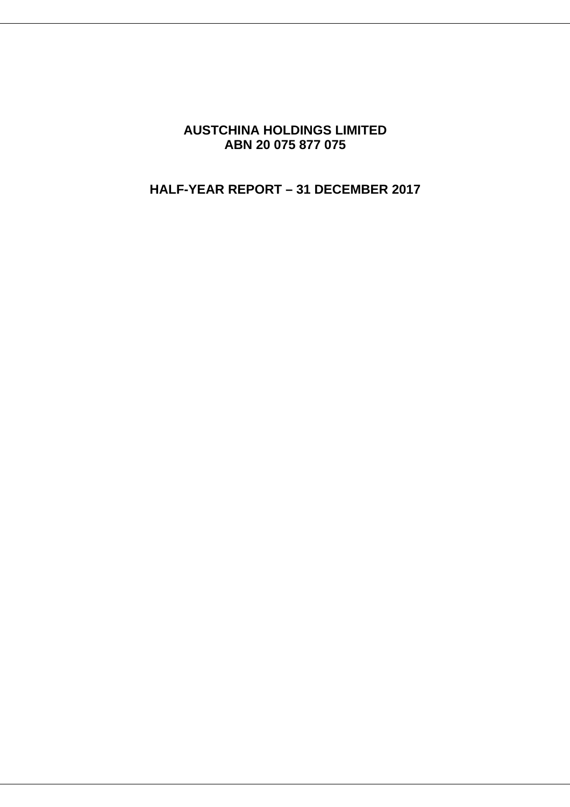# **AUSTCHINA HOLDINGS LIMITED ABN 20 075 877 075**

# **HALF-YEAR REPORT – 31 DECEMBER 2017**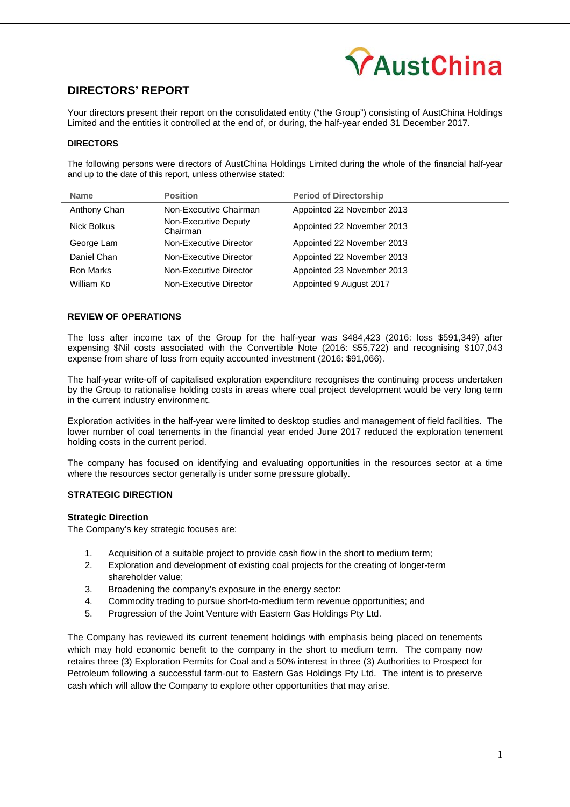

# **DIRECTORS' REPORT**

Your directors present their report on the consolidated entity ("the Group") consisting of AustChina Holdings Limited and the entities it controlled at the end of, or during, the half-year ended 31 December 2017.

### **DIRECTORS**

The following persons were directors of AustChina Holdings Limited during the whole of the financial half-year and up to the date of this report, unless otherwise stated:

| <b>Name</b>  | <b>Position</b>                  | <b>Period of Directorship</b> |
|--------------|----------------------------------|-------------------------------|
| Anthony Chan | Non-Executive Chairman           | Appointed 22 November 2013    |
| Nick Bolkus  | Non-Executive Deputy<br>Chairman | Appointed 22 November 2013    |
| George Lam   | Non-Executive Director           | Appointed 22 November 2013    |
| Daniel Chan  | Non-Executive Director           | Appointed 22 November 2013    |
| Ron Marks    | Non-Executive Director           | Appointed 23 November 2013    |
| William Ko   | Non-Executive Director           | Appointed 9 August 2017       |

#### **REVIEW OF OPERATIONS**

The loss after income tax of the Group for the half-year was \$484,423 (2016: loss \$591,349) after expensing \$Nil costs associated with the Convertible Note (2016: \$55,722) and recognising \$107,043 expense from share of loss from equity accounted investment (2016: \$91,066).

The half-year write-off of capitalised exploration expenditure recognises the continuing process undertaken by the Group to rationalise holding costs in areas where coal project development would be very long term in the current industry environment.

Exploration activities in the half-year were limited to desktop studies and management of field facilities. The lower number of coal tenements in the financial year ended June 2017 reduced the exploration tenement holding costs in the current period.

The company has focused on identifying and evaluating opportunities in the resources sector at a time where the resources sector generally is under some pressure globally.

## **STRATEGIC DIRECTION**

#### **Strategic Direction**

The Company's key strategic focuses are:

- 1. Acquisition of a suitable project to provide cash flow in the short to medium term;
- 2. Exploration and development of existing coal projects for the creating of longer-term shareholder value;
- 3. Broadening the company's exposure in the energy sector:
- 4. Commodity trading to pursue short-to-medium term revenue opportunities; and
- 5. Progression of the Joint Venture with Eastern Gas Holdings Pty Ltd.

The Company has reviewed its current tenement holdings with emphasis being placed on tenements which may hold economic benefit to the company in the short to medium term. The company now retains three (3) Exploration Permits for Coal and a 50% interest in three (3) Authorities to Prospect for Petroleum following a successful farm-out to Eastern Gas Holdings Pty Ltd. The intent is to preserve cash which will allow the Company to explore other opportunities that may arise.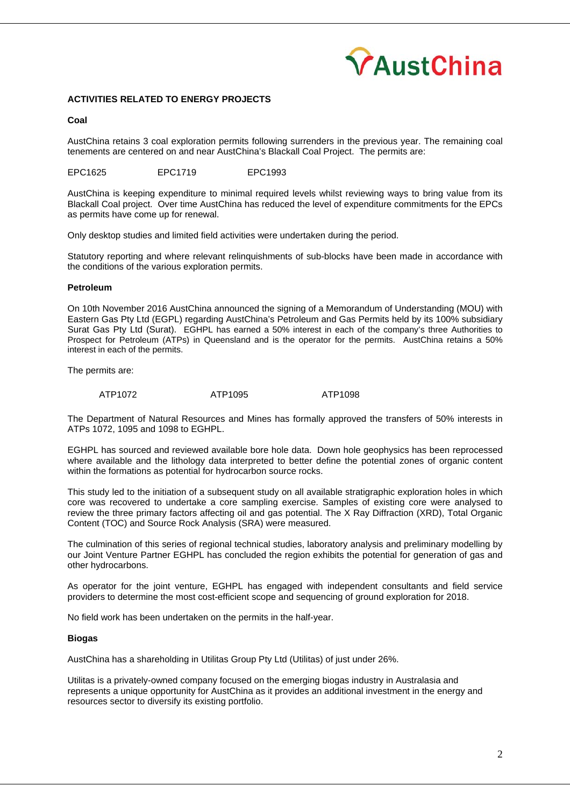

### **ACTIVITIES RELATED TO ENERGY PROJECTS**

#### **Coal**

AustChina retains 3 coal exploration permits following surrenders in the previous year. The remaining coal tenements are centered on and near AustChina's Blackall Coal Project. The permits are:

EPC1625 EPC1719 EPC1993

AustChina is keeping expenditure to minimal required levels whilst reviewing ways to bring value from its Blackall Coal project. Over time AustChina has reduced the level of expenditure commitments for the EPCs as permits have come up for renewal.

Only desktop studies and limited field activities were undertaken during the period.

Statutory reporting and where relevant relinquishments of sub-blocks have been made in accordance with the conditions of the various exploration permits.

#### **Petroleum**

On 10th November 2016 AustChina announced the signing of a Memorandum of Understanding (MOU) with Eastern Gas Pty Ltd (EGPL) regarding AustChina's Petroleum and Gas Permits held by its 100% subsidiary Surat Gas Pty Ltd (Surat). EGHPL has earned a 50% interest in each of the company's three Authorities to Prospect for Petroleum (ATPs) in Queensland and is the operator for the permits. AustChina retains a 50% interest in each of the permits.

The permits are:

ATP1072 ATP1095 ATP1098

The Department of Natural Resources and Mines has formally approved the transfers of 50% interests in ATPs 1072, 1095 and 1098 to EGHPL.

EGHPL has sourced and reviewed available bore hole data. Down hole geophysics has been reprocessed where available and the lithology data interpreted to better define the potential zones of organic content within the formations as potential for hydrocarbon source rocks.

This study led to the initiation of a subsequent study on all available stratigraphic exploration holes in which core was recovered to undertake a core sampling exercise. Samples of existing core were analysed to review the three primary factors affecting oil and gas potential. The X Ray Diffraction (XRD), Total Organic Content (TOC) and Source Rock Analysis (SRA) were measured.

The culmination of this series of regional technical studies, laboratory analysis and preliminary modelling by our Joint Venture Partner EGHPL has concluded the region exhibits the potential for generation of gas and other hydrocarbons.

As operator for the joint venture, EGHPL has engaged with independent consultants and field service providers to determine the most cost-efficient scope and sequencing of ground exploration for 2018.

No field work has been undertaken on the permits in the half-year.

#### **Biogas**

AustChina has a shareholding in Utilitas Group Pty Ltd (Utilitas) of just under 26%.

Utilitas is a privately-owned company focused on the emerging biogas industry in Australasia and represents a unique opportunity for AustChina as it provides an additional investment in the energy and resources sector to diversify its existing portfolio.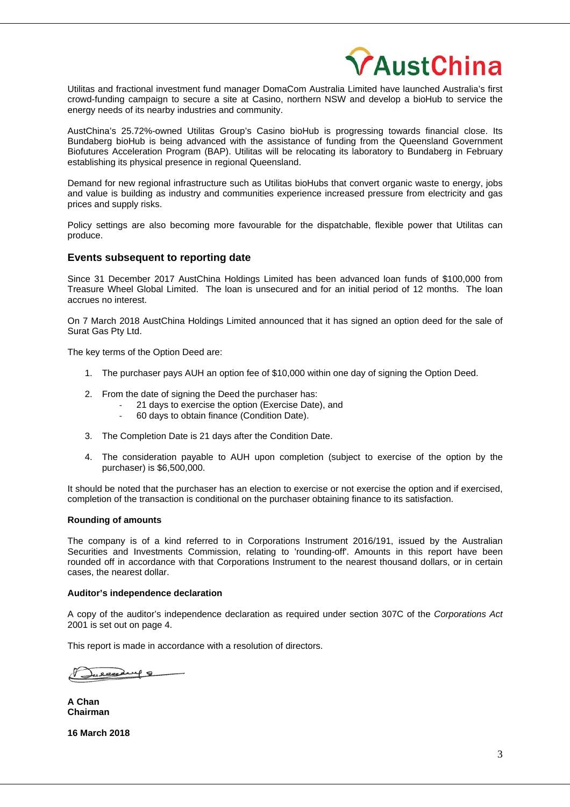

Utilitas and fractional investment fund manager DomaCom Australia Limited have launched Australia's first crowd-funding campaign to secure a site at Casino, northern NSW and develop a bioHub to service the energy needs of its nearby industries and community.

AustChina's 25.72%-owned Utilitas Group's Casino bioHub is progressing towards financial close. Its Bundaberg bioHub is being advanced with the assistance of funding from the Queensland Government Biofutures Acceleration Program (BAP). Utilitas will be relocating its laboratory to Bundaberg in February establishing its physical presence in regional Queensland.

Demand for new regional infrastructure such as Utilitas bioHubs that convert organic waste to energy, jobs and value is building as industry and communities experience increased pressure from electricity and gas prices and supply risks.

Policy settings are also becoming more favourable for the dispatchable, flexible power that Utilitas can produce.

## **Events subsequent to reporting date**

Since 31 December 2017 AustChina Holdings Limited has been advanced loan funds of \$100,000 from Treasure Wheel Global Limited. The loan is unsecured and for an initial period of 12 months. The loan accrues no interest.

On 7 March 2018 AustChina Holdings Limited announced that it has signed an option deed for the sale of Surat Gas Pty Ltd.

The key terms of the Option Deed are:

- 1. The purchaser pays AUH an option fee of \$10,000 within one day of signing the Option Deed.
- 2. From the date of signing the Deed the purchaser has:
	- ‐ 21 days to exercise the option (Exercise Date), and
	- ‐ 60 days to obtain finance (Condition Date).
- 3. The Completion Date is 21 days after the Condition Date.
- 4. The consideration payable to AUH upon completion (subject to exercise of the option by the purchaser) is \$6,500,000.

It should be noted that the purchaser has an election to exercise or not exercise the option and if exercised, completion of the transaction is conditional on the purchaser obtaining finance to its satisfaction.

### **Rounding of amounts**

The company is of a kind referred to in Corporations Instrument 2016/191, issued by the Australian Securities and Investments Commission, relating to 'rounding-off'. Amounts in this report have been rounded off in accordance with that Corporations Instrument to the nearest thousand dollars, or in certain cases, the nearest dollar.

#### **Auditor's independence declaration**

A copy of the auditor's independence declaration as required under section 307C of the *Corporations Act*  2001 is set out on page 4.

This report is made in accordance with a resolution of directors.

Juecedery 8

**A Chan Chairman** 

**16 March 2018**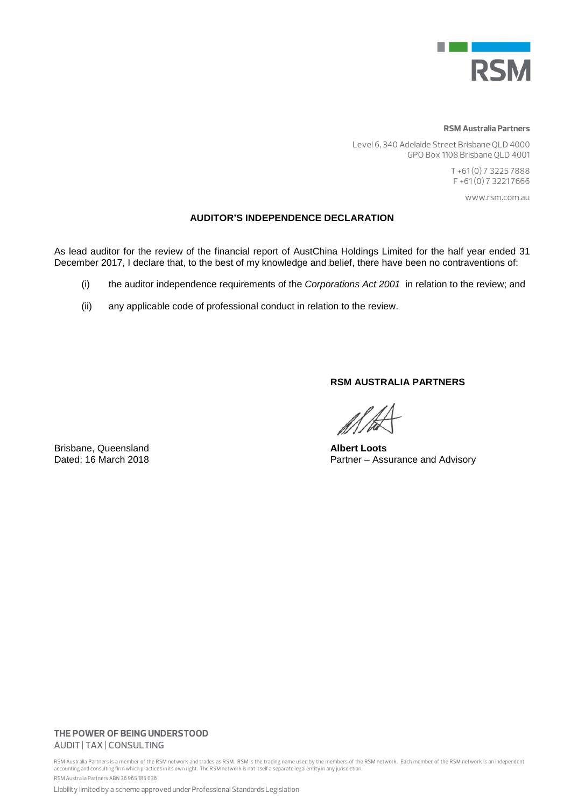

#### **RSM Australia Partners**

Level 6, 340 Adelaide Street Brisbane QLD 4000 GPO Box 1108 Brisbane QLD 4001

> T +61 (0) 7 3225 7888 F +61 (0) 7 3221 7666

> > www.rsm.com.au

## **AUDITOR'S INDEPENDENCE DECLARATION**

As lead auditor for the review of the financial report of AustChina Holdings Limited for the half year ended 31 December 2017, I declare that, to the best of my knowledge and belief, there have been no contraventions of:

- (i) the auditor independence requirements of the *Corporations Act 2001* in relation to the review; and
- (ii) any applicable code of professional conduct in relation to the review.

**RSM AUSTRALIA PARTNERS** 

Partner – Assurance and Advisory

Brisbane, Queensland **Albert Loots**<br>
Dated: 16 March 2018 **Albert Loots**<br>
Partner – Ass

## **THE POWER OF BEING UNDERSTOOD** AUDIT | TAX | CONSULTING

RSM Australia Partners is a member of the RSM network and trades as RSM. RSM is the trading name used by the members of the RSM network. Each member of the RSM network is an independent accounting and consulting firm which practices in its own right. The RSM network is not itself a separate legal entity in any jurisdiction. RSM Australia Partners ABN 36 965 185 036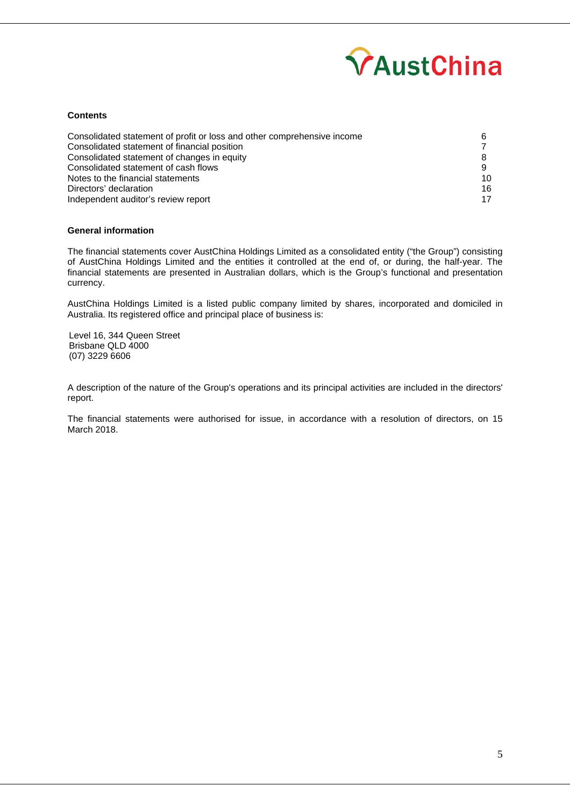

#### **Contents**

| Consolidated statement of profit or loss and other comprehensive income |    |
|-------------------------------------------------------------------------|----|
| Consolidated statement of financial position                            |    |
| Consolidated statement of changes in equity                             |    |
| Consolidated statement of cash flows                                    |    |
| Notes to the financial statements                                       | 10 |
| Directors' declaration                                                  | 16 |
| Independent auditor's review report                                     | 17 |

## **General information**

The financial statements cover AustChina Holdings Limited as a consolidated entity ("the Group") consisting of AustChina Holdings Limited and the entities it controlled at the end of, or during, the half-year. The financial statements are presented in Australian dollars, which is the Group's functional and presentation currency.

AustChina Holdings Limited is a listed public company limited by shares, incorporated and domiciled in Australia. Its registered office and principal place of business is:

Level 16, 344 Queen Street Brisbane QLD 4000 (07) 3229 6606

A description of the nature of the Group's operations and its principal activities are included in the directors' report.

The financial statements were authorised for issue, in accordance with a resolution of directors, on 15 March 2018.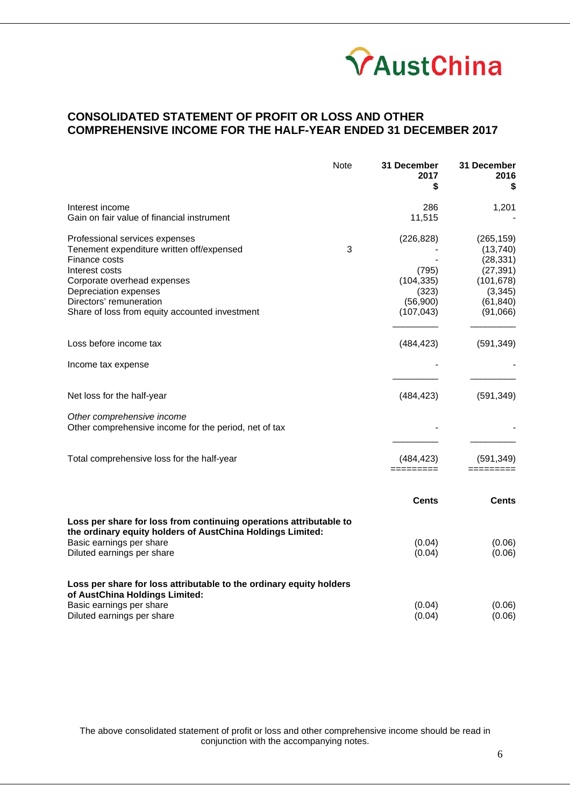

# **CONSOLIDATED STATEMENT OF PROFIT OR LOSS AND OTHER COMPREHENSIVE INCOME FOR THE HALF-YEAR ENDED 31 DECEMBER 2017**

|                                                                                                                                  | Note | 31 December<br>2017<br>\$ | 31 December<br>2016<br>\$ |
|----------------------------------------------------------------------------------------------------------------------------------|------|---------------------------|---------------------------|
| Interest income                                                                                                                  |      | 286                       | 1,201                     |
| Gain on fair value of financial instrument                                                                                       |      | 11,515                    |                           |
| Professional services expenses                                                                                                   |      | (226, 828)                | (265, 159)                |
| Tenement expenditure written off/expensed                                                                                        | 3    |                           | (13, 740)                 |
| Finance costs                                                                                                                    |      |                           | (28, 331)                 |
| Interest costs                                                                                                                   |      | (795)                     | (27, 391)                 |
| Corporate overhead expenses                                                                                                      |      | (104, 335)                | (101, 678)                |
| Depreciation expenses                                                                                                            |      | (323)                     | (3, 345)                  |
| Directors' remuneration                                                                                                          |      | (56,900)                  | (61, 840)                 |
| Share of loss from equity accounted investment                                                                                   |      | (107, 043)                | (91,066)                  |
| Loss before income tax                                                                                                           |      | (484, 423)                | (591, 349)                |
| Income tax expense                                                                                                               |      |                           |                           |
| Net loss for the half-year                                                                                                       |      | (484, 423)                | (591, 349)                |
| Other comprehensive income<br>Other comprehensive income for the period, net of tax                                              |      |                           |                           |
| Total comprehensive loss for the half-year                                                                                       |      | (484, 423)                | (591, 349)                |
|                                                                                                                                  |      | Cents                     | <b>Cents</b>              |
| Loss per share for loss from continuing operations attributable to<br>the ordinary equity holders of AustChina Holdings Limited: |      |                           |                           |
| Basic earnings per share                                                                                                         |      | (0.04)                    | (0.06)                    |
| Diluted earnings per share                                                                                                       |      | (0.04)                    | (0.06)                    |
| Loss per share for loss attributable to the ordinary equity holders<br>of AustChina Holdings Limited:                            |      |                           |                           |
| Basic earnings per share                                                                                                         |      | (0.04)                    | (0.06)                    |
| Diluted earnings per share                                                                                                       |      | (0.04)                    | (0.06)                    |

The above consolidated statement of profit or loss and other comprehensive income should be read in conjunction with the accompanying notes.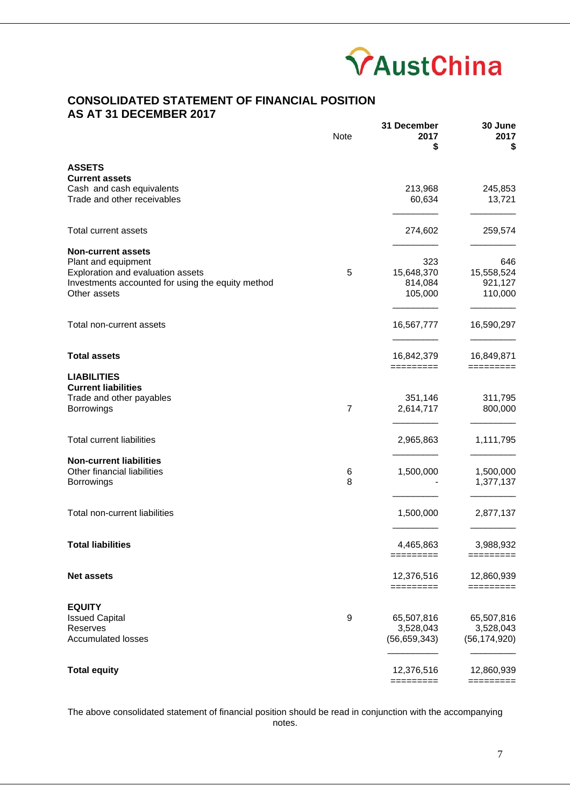

# **CONSOLIDATED STATEMENT OF FINANCIAL POSITION AS AT 31 DECEMBER 2017**

|                                                   | <b>Note</b>    | 31 December<br>2017<br>\$ | 30 June<br>2017<br>\$   |
|---------------------------------------------------|----------------|---------------------------|-------------------------|
| <b>ASSETS</b>                                     |                |                           |                         |
| <b>Current assets</b>                             |                |                           |                         |
| Cash and cash equivalents                         |                | 213,968                   | 245,853                 |
| Trade and other receivables                       |                | 60,634                    | 13,721                  |
| <b>Total current assets</b>                       |                | 274,602                   | 259,574                 |
| <b>Non-current assets</b>                         |                |                           |                         |
| Plant and equipment                               |                | 323                       | 646                     |
| Exploration and evaluation assets                 | 5              | 15,648,370                | 15,558,524              |
| Investments accounted for using the equity method |                | 814,084                   | 921,127                 |
| Other assets                                      |                | 105,000                   | 110,000                 |
| Total non-current assets                          |                | 16,567,777                | 16,590,297              |
| <b>Total assets</b>                               |                | 16,842,379                | 16,849,871              |
| <b>LIABILITIES</b>                                |                | =========                 |                         |
| <b>Current liabilities</b>                        |                |                           |                         |
| Trade and other payables                          |                | 351,146                   | 311,795                 |
| Borrowings                                        | $\overline{7}$ | 2,614,717                 | 800,000                 |
| <b>Total current liabilities</b>                  |                | 2,965,863                 | 1,111,795               |
| <b>Non-current liabilities</b>                    |                |                           |                         |
| Other financial liabilities                       | 6              | 1,500,000                 | 1,500,000               |
| <b>Borrowings</b>                                 | 8              |                           | 1,377,137               |
| Total non-current liabilities                     |                | 1,500,000                 | 2,877,137               |
| <b>Total liabilities</b>                          |                | 4,465,863                 | 3,988,932               |
|                                                   |                | $=$ ========              | $=$ =========           |
| <b>Net assets</b>                                 |                | 12,376,516<br>=========   | 12,860,939<br>========= |
| <b>EQUITY</b>                                     |                |                           |                         |
| <b>Issued Capital</b>                             | 9              | 65,507,816                | 65,507,816              |
| Reserves                                          |                | 3,528,043                 | 3,528,043               |
| <b>Accumulated losses</b>                         |                | (56, 659, 343)            | (56, 174, 920)          |
|                                                   |                |                           |                         |
| <b>Total equity</b>                               |                | 12,376,516<br>=========   | 12,860,939<br>========= |

The above consolidated statement of financial position should be read in conjunction with the accompanying notes.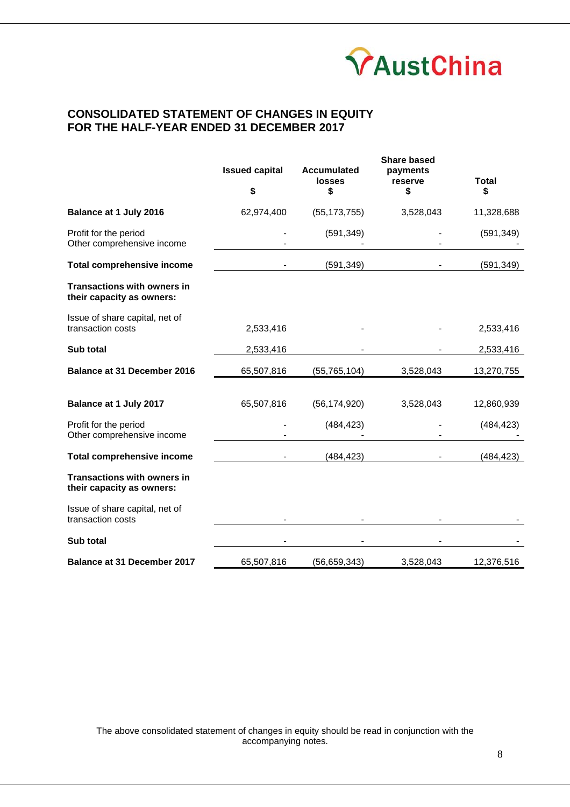

# **CONSOLIDATED STATEMENT OF CHANGES IN EQUITY FOR THE HALF-YEAR ENDED 31 DECEMBER 2017**

|                                                                 | <b>Issued capital</b><br>\$ | <b>Accumulated</b><br>losses<br>\$ | <b>Share based</b><br>payments<br>reserve<br>\$ | <b>Total</b><br>\$ |
|-----------------------------------------------------------------|-----------------------------|------------------------------------|-------------------------------------------------|--------------------|
| Balance at 1 July 2016                                          | 62,974,400                  | (55, 173, 755)                     | 3,528,043                                       | 11,328,688         |
| Profit for the period<br>Other comprehensive income             |                             | (591, 349)                         |                                                 | (591, 349)         |
| <b>Total comprehensive income</b>                               |                             | (591, 349)                         |                                                 | (591, 349)         |
| <b>Transactions with owners in</b><br>their capacity as owners: |                             |                                    |                                                 |                    |
| Issue of share capital, net of<br>transaction costs             | 2,533,416                   |                                    |                                                 | 2,533,416          |
| Sub total                                                       | 2,533,416                   |                                    |                                                 | 2,533,416          |
| <b>Balance at 31 December 2016</b>                              | 65,507,816                  | (55, 765, 104)                     | 3,528,043                                       | 13,270,755         |
| Balance at 1 July 2017                                          | 65,507,816                  | (56, 174, 920)                     | 3,528,043                                       | 12,860,939         |
| Profit for the period<br>Other comprehensive income             |                             | (484, 423)                         |                                                 | (484, 423)         |
| <b>Total comprehensive income</b>                               |                             | (484, 423)                         |                                                 | (484, 423)         |
| <b>Transactions with owners in</b><br>their capacity as owners: |                             |                                    |                                                 |                    |
| Issue of share capital, net of<br>transaction costs             |                             |                                    |                                                 |                    |
| Sub total                                                       |                             |                                    |                                                 |                    |
| <b>Balance at 31 December 2017</b>                              | 65,507,816                  | (56, 659, 343)                     | 3,528,043                                       | 12,376,516         |

The above consolidated statement of changes in equity should be read in conjunction with the accompanying notes.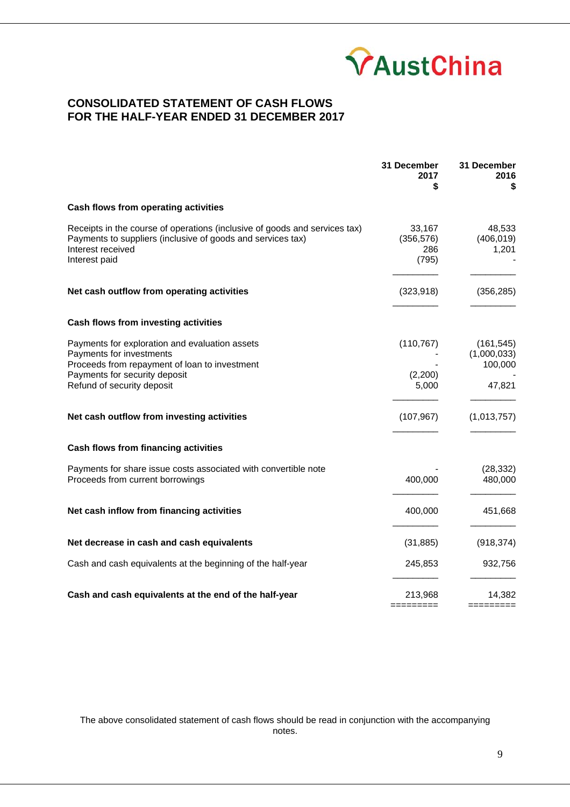

# **CONSOLIDATED STATEMENT OF CASH FLOWS FOR THE HALF-YEAR ENDED 31 DECEMBER 2017**

|                                                                                                                                                                                            | 31 December<br>2017<br>\$            | 31 December<br>2016<br>\$                      |
|--------------------------------------------------------------------------------------------------------------------------------------------------------------------------------------------|--------------------------------------|------------------------------------------------|
| Cash flows from operating activities                                                                                                                                                       |                                      |                                                |
| Receipts in the course of operations (inclusive of goods and services tax)<br>Payments to suppliers (inclusive of goods and services tax)<br>Interest received<br>Interest paid            | 33,167<br>(356, 576)<br>286<br>(795) | 48,533<br>(406, 019)<br>1,201                  |
| Net cash outflow from operating activities                                                                                                                                                 | (323, 918)                           | (356, 285)                                     |
| Cash flows from investing activities                                                                                                                                                       |                                      |                                                |
| Payments for exploration and evaluation assets<br>Payments for investments<br>Proceeds from repayment of loan to investment<br>Payments for security deposit<br>Refund of security deposit | (110, 767)<br>(2,200)<br>5,000       | (161, 545)<br>(1,000,033)<br>100,000<br>47,821 |
| Net cash outflow from investing activities                                                                                                                                                 | (107, 967)                           | (1,013,757)                                    |
| Cash flows from financing activities                                                                                                                                                       |                                      |                                                |
| Payments for share issue costs associated with convertible note<br>Proceeds from current borrowings                                                                                        | 400,000                              | (28, 332)<br>480,000                           |
| Net cash inflow from financing activities                                                                                                                                                  | 400,000                              | 451,668                                        |
| Net decrease in cash and cash equivalents                                                                                                                                                  | (31, 885)                            | (918, 374)                                     |
| Cash and cash equivalents at the beginning of the half-year                                                                                                                                | 245,853                              | 932,756                                        |
| Cash and cash equivalents at the end of the half-year                                                                                                                                      | 213,968<br>=======                   | 14,382<br>=========                            |

The above consolidated statement of cash flows should be read in conjunction with the accompanying notes.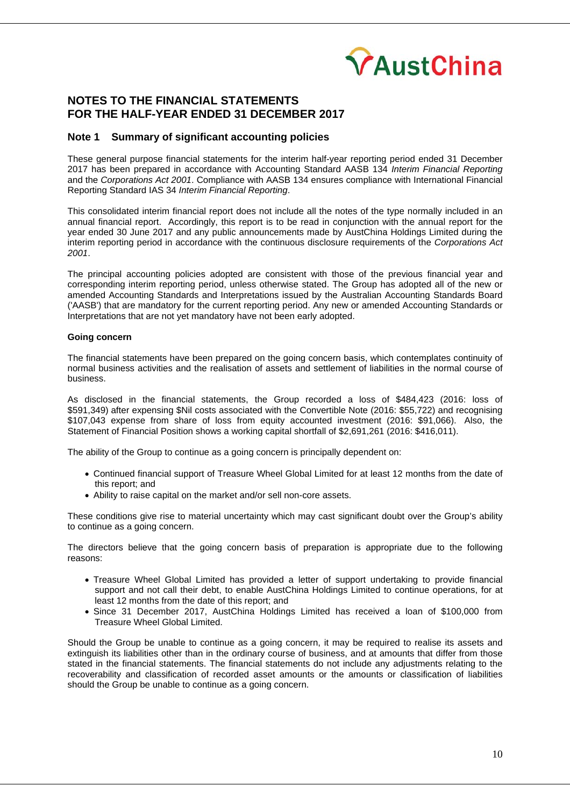

## **Note 1 Summary of significant accounting policies**

These general purpose financial statements for the interim half-year reporting period ended 31 December 2017 has been prepared in accordance with Accounting Standard AASB 134 *Interim Financial Reporting*  and the *Corporations Act 2001*. Compliance with AASB 134 ensures compliance with International Financial Reporting Standard IAS 34 *Interim Financial Reporting*.

This consolidated interim financial report does not include all the notes of the type normally included in an annual financial report. Accordingly, this report is to be read in conjunction with the annual report for the year ended 30 June 2017 and any public announcements made by AustChina Holdings Limited during the interim reporting period in accordance with the continuous disclosure requirements of the *Corporations Act 2001*.

The principal accounting policies adopted are consistent with those of the previous financial year and corresponding interim reporting period, unless otherwise stated. The Group has adopted all of the new or amended Accounting Standards and Interpretations issued by the Australian Accounting Standards Board ('AASB') that are mandatory for the current reporting period. Any new or amended Accounting Standards or Interpretations that are not yet mandatory have not been early adopted.

#### **Going concern**

The financial statements have been prepared on the going concern basis, which contemplates continuity of normal business activities and the realisation of assets and settlement of liabilities in the normal course of business.

As disclosed in the financial statements, the Group recorded a loss of \$484,423 (2016: loss of \$591,349) after expensing \$Nil costs associated with the Convertible Note (2016: \$55,722) and recognising \$107,043 expense from share of loss from equity accounted investment (2016: \$91,066). Also, the Statement of Financial Position shows a working capital shortfall of \$2,691,261 (2016: \$416,011).

The ability of the Group to continue as a going concern is principally dependent on:

- Continued financial support of Treasure Wheel Global Limited for at least 12 months from the date of this report; and
- Ability to raise capital on the market and/or sell non-core assets.

These conditions give rise to material uncertainty which may cast significant doubt over the Group's ability to continue as a going concern.

The directors believe that the going concern basis of preparation is appropriate due to the following reasons:

- Treasure Wheel Global Limited has provided a letter of support undertaking to provide financial support and not call their debt, to enable AustChina Holdings Limited to continue operations, for at least 12 months from the date of this report; and
- Since 31 December 2017, AustChina Holdings Limited has received a loan of \$100,000 from Treasure Wheel Global Limited.

Should the Group be unable to continue as a going concern, it may be required to realise its assets and extinguish its liabilities other than in the ordinary course of business, and at amounts that differ from those stated in the financial statements. The financial statements do not include any adjustments relating to the recoverability and classification of recorded asset amounts or the amounts or classification of liabilities should the Group be unable to continue as a going concern.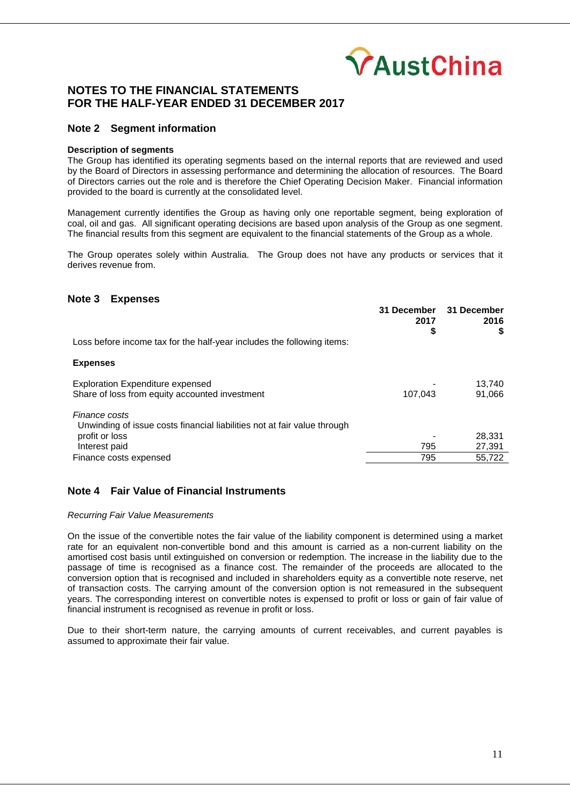

## **Note 2 Segment information**

#### **Description of segments**

The Group has identified its operating segments based on the internal reports that are reviewed and used by the Board of Directors in assessing performance and determining the allocation of resources. The Board of Directors carries out the role and is therefore the Chief Operating Decision Maker. Financial information provided to the board is currently at the consolidated level.

Management currently identifies the Group as having only one reportable segment, being exploration of coal, oil and gas. All significant operating decisions are based upon analysis of the Group as one segment. The financial results from this segment are equivalent to the financial statements of the Group as a whole.

The Group operates solely within Australia. The Group does not have any products or services that it derives revenue from.

## **Note 3 Expenses**

|                                                                                           | 31 December<br>2017<br>\$ | 31 December<br>2016<br>\$ |
|-------------------------------------------------------------------------------------------|---------------------------|---------------------------|
| Loss before income tax for the half-year includes the following items:                    |                           |                           |
| <b>Expenses</b>                                                                           |                           |                           |
| <b>Exploration Expenditure expensed</b><br>Share of loss from equity accounted investment | 107.043                   | 13,740<br>91,066          |
| Finance costs<br>Unwinding of issue costs financial liabilities not at fair value through |                           |                           |
| profit or loss                                                                            |                           | 28,331                    |
| Interest paid                                                                             | 795                       | 27,391                    |
| Finance costs expensed                                                                    | 795                       | 55.722                    |

## **Note 4 Fair Value of Financial Instruments**

#### *Recurring Fair Value Measurements*

On the issue of the convertible notes the fair value of the liability component is determined using a market rate for an equivalent non-convertible bond and this amount is carried as a non-current liability on the amortised cost basis until extinguished on conversion or redemption. The increase in the liability due to the passage of time is recognised as a finance cost. The remainder of the proceeds are allocated to the conversion option that is recognised and included in shareholders equity as a convertible note reserve, net of transaction costs. The carrying amount of the conversion option is not remeasured in the subsequent years. The corresponding interest on convertible notes is expensed to profit or loss or gain of fair value of financial instrument is recognised as revenue in profit or loss.

Due to their short-term nature, the carrying amounts of current receivables, and current payables is assumed to approximate their fair value.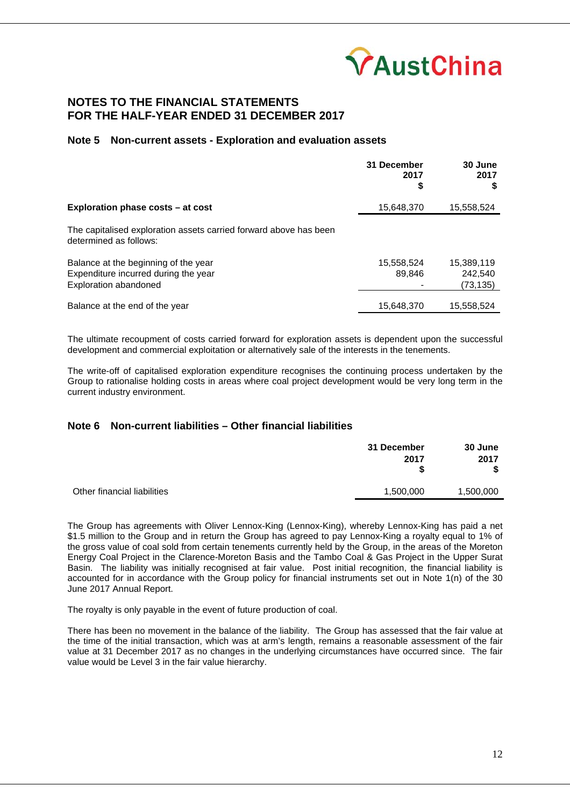

## **Note 5 Non-current assets - Exploration and evaluation assets**

|                                                                                                              | 31 December<br>2017<br>\$ | 30 June<br>2017<br>S               |
|--------------------------------------------------------------------------------------------------------------|---------------------------|------------------------------------|
| Exploration phase costs – at cost                                                                            | 15,648,370                | 15,558,524                         |
| The capitalised exploration assets carried forward above has been<br>determined as follows:                  |                           |                                    |
| Balance at the beginning of the year<br>Expenditure incurred during the year<br><b>Exploration abandoned</b> | 15,558,524<br>89.846      | 15,389,119<br>242.540<br>(73, 135) |
| Balance at the end of the year                                                                               | 15,648,370                | 15,558,524                         |

The ultimate recoupment of costs carried forward for exploration assets is dependent upon the successful development and commercial exploitation or alternatively sale of the interests in the tenements.

The write-off of capitalised exploration expenditure recognises the continuing process undertaken by the Group to rationalise holding costs in areas where coal project development would be very long term in the current industry environment.

## **Note 6 Non-current liabilities – Other financial liabilities**

|                             | 31 December<br>2017 | 30 June<br>2017 |
|-----------------------------|---------------------|-----------------|
| Other financial liabilities | 1,500,000           | 1,500,000       |

The Group has agreements with Oliver Lennox-King (Lennox-King), whereby Lennox-King has paid a net \$1.5 million to the Group and in return the Group has agreed to pay Lennox-King a royalty equal to 1% of the gross value of coal sold from certain tenements currently held by the Group, in the areas of the Moreton Energy Coal Project in the Clarence-Moreton Basis and the Tambo Coal & Gas Project in the Upper Surat Basin. The liability was initially recognised at fair value. Post initial recognition, the financial liability is accounted for in accordance with the Group policy for financial instruments set out in Note 1(n) of the 30 June 2017 Annual Report.

The royalty is only payable in the event of future production of coal.

There has been no movement in the balance of the liability. The Group has assessed that the fair value at the time of the initial transaction, which was at arm's length, remains a reasonable assessment of the fair value at 31 December 2017 as no changes in the underlying circumstances have occurred since. The fair value would be Level 3 in the fair value hierarchy.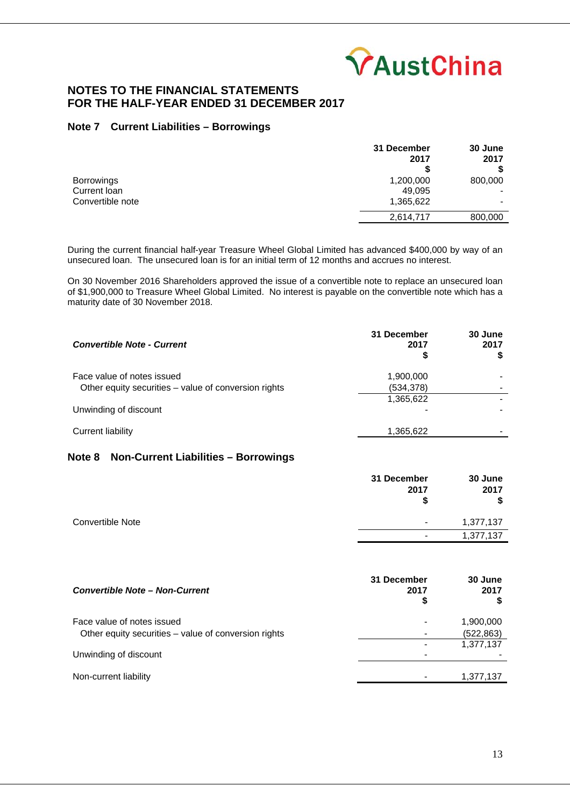

## **Note 7 Current Liabilities – Borrowings**

|                   | 31 December<br>2017 | 30 June<br>2017 |
|-------------------|---------------------|-----------------|
|                   |                     |                 |
| <b>Borrowings</b> | 1,200,000           | 800,000         |
| Current Ioan      | 49.095              |                 |
| Convertible note  | 1,365,622           |                 |
|                   | 2,614,717           | 800,000         |

During the current financial half-year Treasure Wheel Global Limited has advanced \$400,000 by way of an unsecured loan. The unsecured loan is for an initial term of 12 months and accrues no interest.

On 30 November 2016 Shareholders approved the issue of a convertible note to replace an unsecured loan of \$1,900,000 to Treasure Wheel Global Limited. No interest is payable on the convertible note which has a maturity date of 30 November 2018.

| <b>Convertible Note - Current</b>                                                  | 31 December<br>2017<br>S | 30 June<br>2017 |
|------------------------------------------------------------------------------------|--------------------------|-----------------|
| Face value of notes issued<br>Other equity securities - value of conversion rights | 1,900,000<br>(534, 378)  |                 |
|                                                                                    | 1,365,622                |                 |
| Unwinding of discount                                                              |                          |                 |
| Current liability                                                                  | 1,365,622                |                 |

# **Note 8 Non-Current Liabilities – Borrowings**

|                  | 31 December<br>2017<br>S | 30 June<br>2017<br>\$ |
|------------------|--------------------------|-----------------------|
| Convertible Note | $\blacksquare$           | 1,377,137             |
|                  | $\,$                     | 1,377,137             |

| 31 December<br><b>Convertible Note - Non-Current</b><br>2017<br>\$                 | 30 June<br>2017         |
|------------------------------------------------------------------------------------|-------------------------|
| Face value of notes issued<br>Other equity securities - value of conversion rights | 1,900,000<br>(522, 863) |
|                                                                                    | 1,377,137               |
| Unwinding of discount                                                              |                         |
| Non-current liability                                                              | 1,377,137               |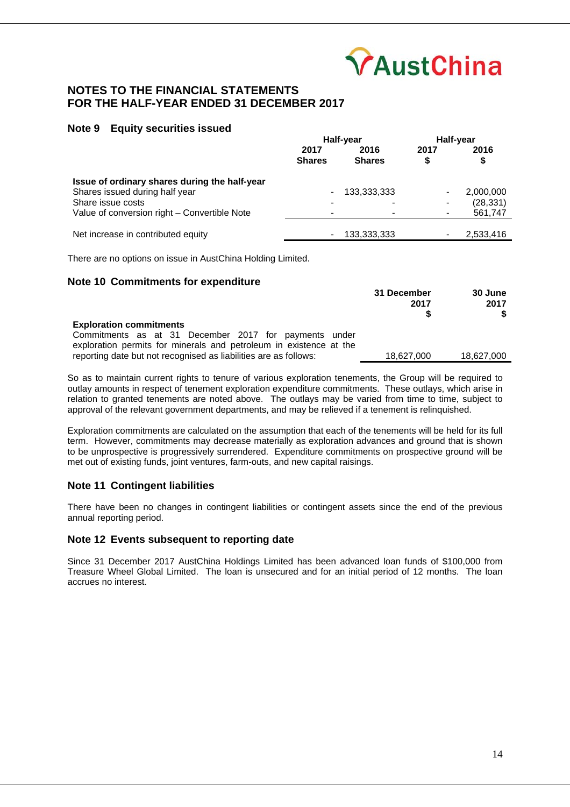

## **Note 9 Equity securities issued**

|                                               | Half-year                |                       | Half-year |            |
|-----------------------------------------------|--------------------------|-----------------------|-----------|------------|
|                                               | 2017<br><b>Shares</b>    | 2016<br><b>Shares</b> | 2017<br>S | 2016<br>\$ |
| Issue of ordinary shares during the half-year |                          |                       |           |            |
| Shares issued during half year                | $\overline{\phantom{a}}$ | 133,333,333           |           | 2,000,000  |
| Share issue costs                             |                          |                       |           | (28, 331)  |
| Value of conversion right – Convertible Note  | $\overline{\phantom{0}}$ |                       |           | 561,747    |
|                                               |                          |                       |           |            |
| Net increase in contributed equity            | ۰                        | 133,333,333           |           | 2,533,416  |

There are no options on issue in AustChina Holding Limited.

## **Note 10 Commitments for expenditure**

|                                                                                                                                                                                                                                   | 31 December<br>2017 | 30 June<br>2017 |
|-----------------------------------------------------------------------------------------------------------------------------------------------------------------------------------------------------------------------------------|---------------------|-----------------|
| <b>Exploration commitments</b><br>Commitments as at 31 December 2017 for payments under<br>exploration permits for minerals and petroleum in existence at the<br>reporting date but not recognised as liabilities are as follows: | 18.627.000          | 18,627,000      |

So as to maintain current rights to tenure of various exploration tenements, the Group will be required to outlay amounts in respect of tenement exploration expenditure commitments. These outlays, which arise in relation to granted tenements are noted above. The outlays may be varied from time to time, subject to approval of the relevant government departments, and may be relieved if a tenement is relinquished.

Exploration commitments are calculated on the assumption that each of the tenements will be held for its full term. However, commitments may decrease materially as exploration advances and ground that is shown to be unprospective is progressively surrendered. Expenditure commitments on prospective ground will be met out of existing funds, joint ventures, farm-outs, and new capital raisings.

## **Note 11 Contingent liabilities**

There have been no changes in contingent liabilities or contingent assets since the end of the previous annual reporting period.

## **Note 12 Events subsequent to reporting date**

Since 31 December 2017 AustChina Holdings Limited has been advanced loan funds of \$100,000 from Treasure Wheel Global Limited. The loan is unsecured and for an initial period of 12 months. The loan accrues no interest.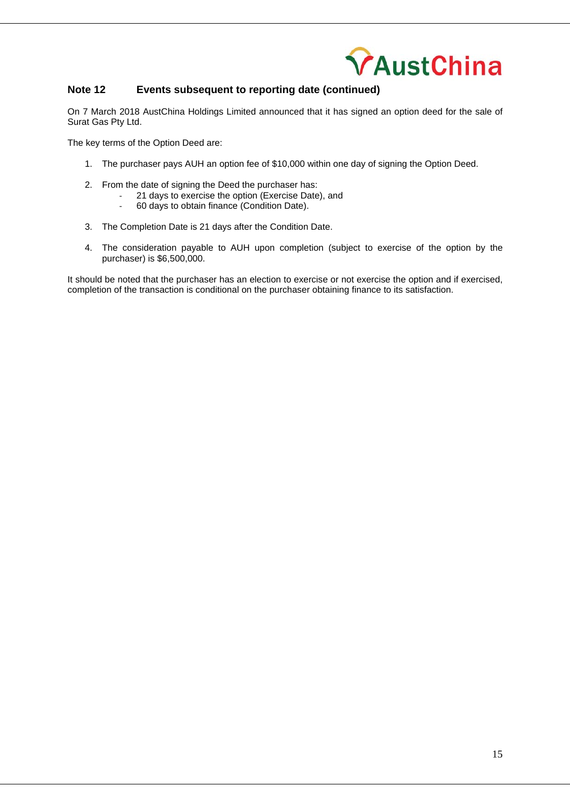

## **Note 12 Events subsequent to reporting date (continued)**

On 7 March 2018 AustChina Holdings Limited announced that it has signed an option deed for the sale of Surat Gas Pty Ltd.

The key terms of the Option Deed are:

- 1. The purchaser pays AUH an option fee of \$10,000 within one day of signing the Option Deed.
- 2. From the date of signing the Deed the purchaser has:
	- ‐ 21 days to exercise the option (Exercise Date), and
		- ‐ 60 days to obtain finance (Condition Date).
- 3. The Completion Date is 21 days after the Condition Date.
- 4. The consideration payable to AUH upon completion (subject to exercise of the option by the purchaser) is \$6,500,000.

It should be noted that the purchaser has an election to exercise or not exercise the option and if exercised, completion of the transaction is conditional on the purchaser obtaining finance to its satisfaction.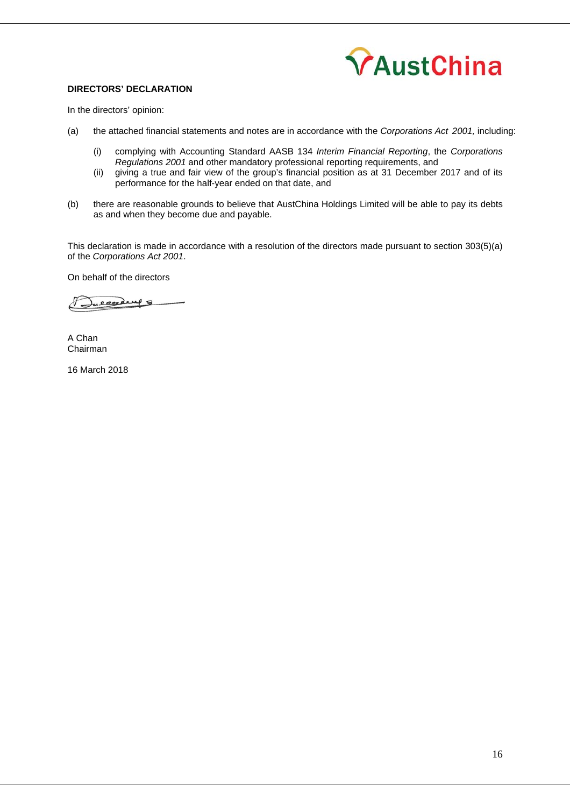

## **DIRECTORS' DECLARATION**

In the directors' opinion:

- (a) the attached financial statements and notes are in accordance with the *Corporations Act 2001,* including:
	- (i) complying with Accounting Standard AASB 134 *Interim Financial Reporting*, the *Corporations Regulations 2001* and other mandatory professional reporting requirements, and
	- (ii) giving a true and fair view of the group's financial position as at 31 December 2017 and of its performance for the half-year ended on that date, and
- (b) there are reasonable grounds to believe that AustChina Holdings Limited will be able to pay its debts as and when they become due and payable.

This declaration is made in accordance with a resolution of the directors made pursuant to section 303(5)(a) of the *Corporations Act 2001*.

On behalf of the directors

 $\mathcal{S}% _{0}=\mathcal{S}_{0}=\mathcal{S}_{0}=\mathcal{S}_{0}=\mathcal{S}_{0}=\mathcal{S}_{0}=\mathcal{S}_{0}=\mathcal{S}_{0}=\mathcal{S}_{0}=\mathcal{S}_{0}=\mathcal{S}_{0}=\mathcal{S}_{0}=\mathcal{S}_{0}=\mathcal{S}_{0}=\mathcal{S}_{0}=\mathcal{S}_{0}=\mathcal{S}_{0}=\mathcal{S}_{0}=\mathcal{S}_{0}=\mathcal{S}_{0}=\mathcal{S}_{0}=\mathcal{S}_{0}=\mathcal{S}_{0}=\mathcal{S}_{0}=\mathcal{S}_{0}=\mathcal{S}_{0}=\mathcal{S}_{0}=\math$ e escederal

A Chan Chairman

16 March 2018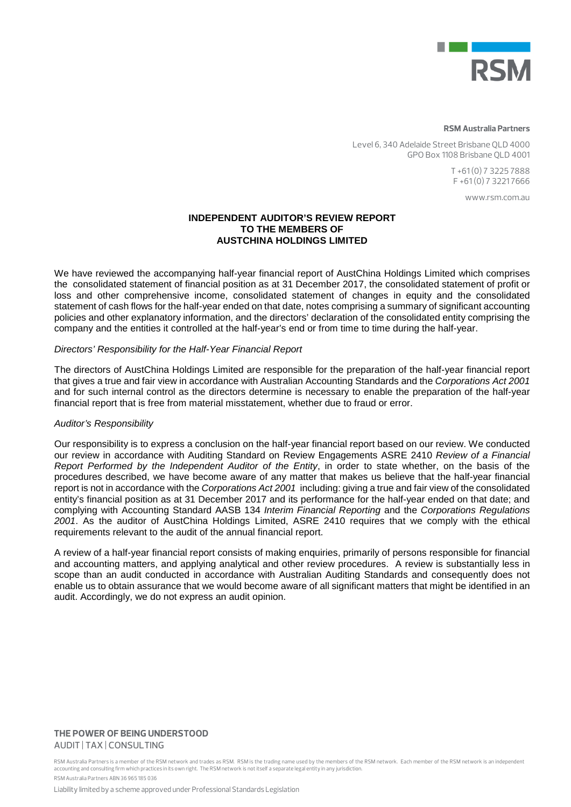

#### **RSM Australia Partners**

Level 6, 340 Adelaide Street Brisbane QLD 4000 GPO Box 1108 Brisbane QLD 4001

> T +61 (0) 7 3225 7888 F +61 (0) 7 3221 7666

> > www.rsm.com.au

## **INDEPENDENT AUDITOR'S REVIEW REPORT TO THE MEMBERS OF AUSTCHINA HOLDINGS LIMITED**

We have reviewed the accompanying half-year financial report of AustChina Holdings Limited which comprises the consolidated statement of financial position as at 31 December 2017, the consolidated statement of profit or loss and other comprehensive income, consolidated statement of changes in equity and the consolidated statement of cash flows for the half-year ended on that date, notes comprising a summary of significant accounting policies and other explanatory information, and the directors' declaration of the consolidated entity comprising the company and the entities it controlled at the half-year's end or from time to time during the half-year.

## *Directors' Responsibility for the Half-Year Financial Report*

The directors of AustChina Holdings Limited are responsible for the preparation of the half-year financial report that gives a true and fair view in accordance with Australian Accounting Standards and the *Corporations Act 2001*  and for such internal control as the directors determine is necessary to enable the preparation of the half-year financial report that is free from material misstatement, whether due to fraud or error.

## *Auditor's Responsibility*

Our responsibility is to express a conclusion on the half-year financial report based on our review. We conducted our review in accordance with Auditing Standard on Review Engagements ASRE 2410 *Review of a Financial Report Performed by the Independent Auditor of the Entity*, in order to state whether, on the basis of the procedures described, we have become aware of any matter that makes us believe that the half-year financial report is not in accordance with the *Corporations Act 2001* including: giving a true and fair view of the consolidated entity's financial position as at 31 December 2017 and its performance for the half-year ended on that date; and complying with Accounting Standard AASB 134 *Interim Financial Reporting* and the *Corporations Regulations 2001*. As the auditor of AustChina Holdings Limited, ASRE 2410 requires that we comply with the ethical requirements relevant to the audit of the annual financial report.

A review of a half-year financial report consists of making enquiries, primarily of persons responsible for financial and accounting matters, and applying analytical and other review procedures. A review is substantially less in scope than an audit conducted in accordance with Australian Auditing Standards and consequently does not enable us to obtain assurance that we would become aware of all significant matters that might be identified in an audit. Accordingly, we do not express an audit opinion.

#### **THE POWER OF BEING UNDERSTOOD** AUDIT | TAX | CONSULTING

RSM Australia Partners is a member of the RSM network and trades as RSM. RSM is the trading name used by the members of the RSM network. Each member of the RSM network is an independent accounting and consulting firm which practices in its own right. The RSM network is not itself a separate legal entity in any jurisdiction. RSM Australia Partners ABN 36 965 185 036

Liability limited by a scheme approved under Professional Standards Legislation